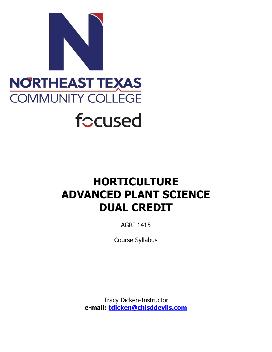

# **HORTICULTURE ADVANCED PLANT SCIENCE DUAL CREDIT**

AGRI 1415

Course Syllabus

Tracy Dicken-Instructor **e-mail: [tdicken@chisddevils.com](mailto:tdicken@chisddevils.com)**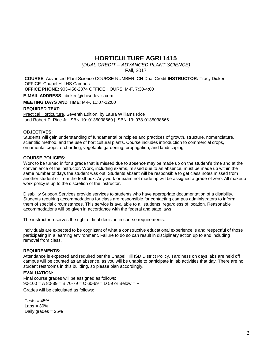## **HORTICULTURE AGRI 1415**

*(DUAL CREDIT – ADVANCED PLANT SCIENCE)*

Fall, 2017

**COURSE**: Advanced Plant Science COURSE NUMBER: CH Dual Credit **INSTRUCTOR:** Tracy Dicken OFFICE: Chapel Hill HS Campus **OFFICE PHONE**: 903-456-2374 OFFICE HOURS: M-F, 7:30-4:00 **E-MAIL ADDRESS**: [tdicken@chisddevils.com](mailto:tdicken@chisddevils.com) **MEETING DAYS AND TIME**: M-F, 11:07-12:00

## **REQUIRED TEXT:**

Practical Horticulture, Seventh Edition, b[y Laura Williams Rice](http://www.amazon.com/Laura-Williams-Rice/e/B001H6OK1Q/ref%3Dntt_athr_dp_pel_1/178-6808126-9559251) and [Robert P. Rice Jr.](http://www.amazon.com/s/ref%3Dntt_athr_dp_sr_2/178-6808126-9559251?_encoding=UTF8&field-author=Robert%20P.%20Rice%20Jr.&ie=UTF8&search-alias=books&sort=relevancerank) ISBN-10: 0135038669 | ISBN-13: 978-0135038666

#### **OBJECTIVES:**

Students will gain understanding of fundamental principles and practices of growth, structure, nomenclature, scientific method, and the use of horticultural plants. Course includes introduction to commercial crops, ornamental crops, orcharding, vegetable gardening, propagation, and landscaping.

#### **COURSE POLICIES:**

Work to be turned in for a grade that is missed due to absence may be made up on the student's time and at the convenience of the instructor. Work, including exams, missed due to an absence, must be made up within the same number of days the student was out. Students absent will be responsible to get class notes missed from another student or from the textbook. Any work or exam not made up will be assigned a grade of zero. All makeup work policy is up to the discretion of the instructor.

Disability Support Services provide services to students who have appropriate documentation of a disability. Students requiring accommodations for class are responsible for contacting campus administrators to inform them of special circumstances. This service is available to all students, regardless of location. Reasonable accommodations will be given in accordance with the federal and state laws

The instructor reserves the right of final decision in course requirements.

Individuals are expected to be cognizant of what a constructive educational experience is and respectful of those participating in a learning environment. Failure to do so can result in disciplinary action up to and including removal from class.

#### **REQUIREMENTS:**

Attendance is expected and required per the Chapel Hill ISD District Policy. Tardiness on days labs are held off campus will be counted as an absence, as you will be unable to participate in lab activities that day. There are no student restrooms in this building, so please plan accordingly.

#### **EVALUATION:**

Final course grades will be assigned as follows:  $90-100 = A 80-89 = B 70-79 = C 60-69 = D 59$  or Below = F Grades will be calculated as follows:

 $Tests = 45%$ Labs  $= 30%$ Daily grades = 25%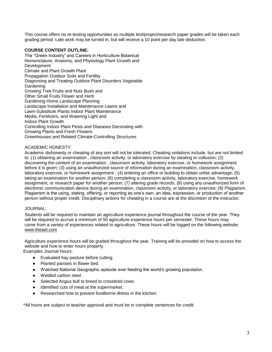This course offers no re-testing opportunities as multiple test/project/research paper grades will be taken each grading period. Late work may be turned in, but will receive a 10 point per day late deduction.

## **COURSE CONTENT OUTLINE:**

The "Green Industry" and Careers in Horticulture Botanical Nomenclature, Anatomy, and Physiology Plant Growth and Development Climate and Plant Growth Plant Propagation Outdoor Soils and Fertility Diagnosing and Treating Outdoor Plant Disorders Vegetable **Gardening** Growing Tree Fruits and Nuts Bush and Other Small Fruits Flower and Herb Gardening Home Landscape Planning Landscape Installation and Maintenance Lawns and Lawn-Substitute Plants Indoor Plant Maintenance Media, Fertilizers, and Watering Light and Indoor Plant Growth Controlling Indoor Plant Pests and Diseases Decorating with Growing Plants and Fresh Flowers Greenhouses and Related Climate-Controlling Structures

#### ACADEMIC HONESTY:

Academic dishonesty or cheating of any sort will not be tolerated. Cheating violations include, but are not limited to: (1) obtaining an examination , classroom activity, or laboratory exercise by stealing or collusion; (2) discovering the content of an examination , classroom activity, laboratory exercise, or homework assignment before it is given; (3) using an unauthorized source of information during an examination, classroom activity, laboratory exercise, or homework assignment ; (4) entering an office or building to obtain unfair advantage; (5) taking an examination for another person; (6) completing a classroom activity, laboratory exercise, homework assignment, or research paper for another person; (7) altering grade records; (8) using any unauthorized form of electronic communication device during an examination, classroom activity, or laboratory exercise; (9) Plagiarism. Plagiarism is the using, stating, offering, or reporting as one's own, an idea, expression, or production of another person without proper credit. Disciplinary actions for cheating in a course are at the discretion of the instructor.

#### JOURNAL:

Students will be required to maintain an agriculture experience journal throughout the course of the year. They will be required to accrue a minimum of 50 agriculture experience hours per semester. These hours may come from a variety of experiences related to agriculture. These hours will be logged on the following website: [www.theaet.com](http://www.theaet.com/)

Agriculture experience hours will be graded throughout the year. Training will be provided on how to access the website and how to enter hours properly. Examples Journal Hours:

- Evaluated hay pasture before cutting.
- Planted pansies in flower bed.
- Watched National Geographic episode over feeding the world's growing population.
- Welded carbon steel.
- Selected Angus bull to breed to crossbred cows.
- Identified cuts of meat at the supermarket.
- Researched how to prevent foodborne illness in the kitchen.

\*All hours are subject to teacher approval and must be in complete sentences for credit.